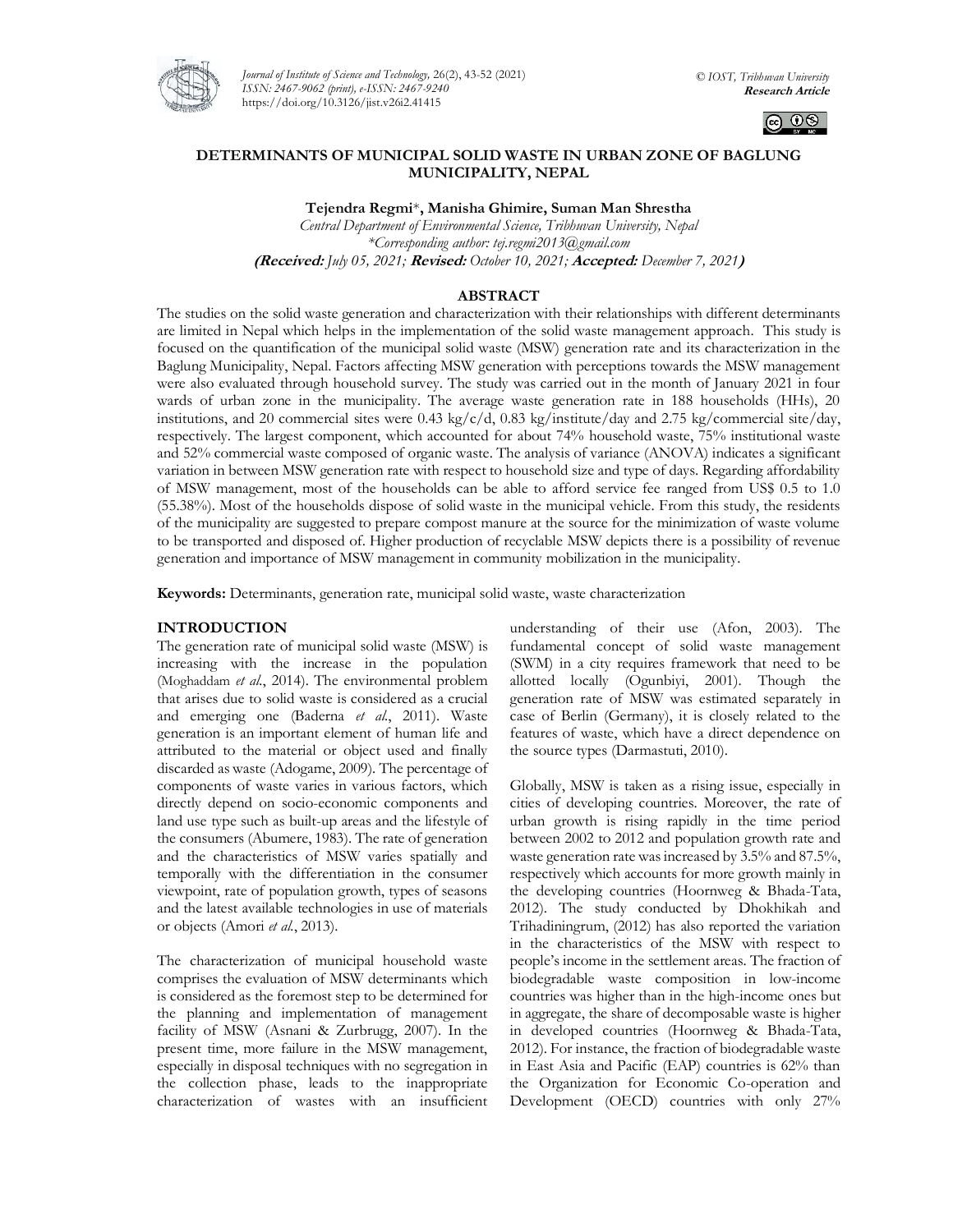

*Journal of Institute of Science and Technology,* 26(2), 43-52 (2021) *ISSN: 2467-9062 (print), e-ISSN: 2467-9240* https://doi.org/10.3126/jist.v26i2.41415



### **DETERMINANTS OF MUNICIPAL SOLID WASTE IN URBAN ZONE OF BAGLUNG MUNICIPALITY, NEPAL**

**Tejendra Regmi**\***, Manisha Ghimire, Suman Man Shrestha**

*Central Department of Environmental Science, Tribhuvan University, Nepal \*Corresponding author: [tej.regmi2013@gmail.com](mailto:tej.regmi2013@gmail.com)* **(Received:** *July 05, 2021;* **Revised:** *October 10, 2021;* **Accepted:** *December 7, 2021***)**

# **ABSTRACT**

The studies on the solid waste generation and characterization with their relationships with different determinants are limited in Nepal which helps in the implementation of the solid waste management approach. This study is focused on the quantification of the municipal solid waste (MSW) generation rate and its characterization in the Baglung Municipality, Nepal. Factors affecting MSW generation with perceptions towards the MSW management were also evaluated through household survey. The study was carried out in the month of January 2021 in four wards of urban zone in the municipality. The average waste generation rate in 188 households (HHs), 20 institutions, and 20 commercial sites were 0.43 kg/c/d, 0.83 kg/institute/day and 2.75 kg/commercial site/day, respectively. The largest component, which accounted for about 74% household waste, 75% institutional waste and 52% commercial waste composed of organic waste. The analysis of variance (ANOVA) indicates a significant variation in between MSW generation rate with respect to household size and type of days. Regarding affordability of MSW management, most of the households can be able to afford service fee ranged from US\$ 0.5 to 1.0 (55.38%). Most of the households dispose of solid waste in the municipal vehicle. From this study, the residents of the municipality are suggested to prepare compost manure at the source for the minimization of waste volume to be transported and disposed of. Higher production of recyclable MSW depicts there is a possibility of revenue generation and importance of MSW management in community mobilization in the municipality.

**Keywords:** Determinants, generation rate, municipal solid waste, waste characterization

### **INTRODUCTION**

The generation rate of municipal solid waste (MSW) is increasing with the increase in the population (Moghaddam *et al.*, 2014). The environmental problem that arises due to solid waste is considered as a crucial and emerging one (Baderna *et al.*, 2011). Waste generation is an important element of human life and attributed to the material or object used and finally discarded as waste (Adogame, 2009). The percentage of components of waste varies in various factors, which directly depend on socio-economic components and land use type such as built-up areas and the lifestyle of the consumers (Abumere, 1983). The rate of generation and the characteristics of MSW varies spatially and temporally with the differentiation in the consumer viewpoint, rate of population growth, types of seasons and the latest available technologies in use of materials or objects (Amori *et al.*, 2013).

The characterization of municipal household waste comprises the evaluation of MSW determinants which is considered as the foremost step to be determined for the planning and implementation of management facility of MSW (Asnani & Zurbrugg, 2007). In the present time, more failure in the MSW management, especially in disposal techniques with no segregation in the collection phase, leads to the inappropriate characterization of wastes with an insufficient

understanding of their use (Afon, 2003). The fundamental concept of solid waste management (SWM) in a city requires framework that need to be allotted locally (Ogunbiyi, 2001). Though the generation rate of MSW was estimated separately in case of Berlin (Germany), it is closely related to the features of waste, which have a direct dependence on the source types (Darmastuti, 2010).

Globally, MSW is taken as a rising issue, especially in cities of developing countries. Moreover, the rate of urban growth is rising rapidly in the time period between 2002 to 2012 and population growth rate and waste generation rate was increased by 3.5% and 87.5%, respectively which accounts for more growth mainly in the developing countries (Hoornweg & Bhada-Tata, 2012). The study conducted by Dhokhikah and Trihadiningrum, (2012) has also reported the variation in the characteristics of the MSW with respect to people's income in the settlement areas. The fraction of biodegradable waste composition in low-income countries was higher than in the high-income ones but in aggregate, the share of decomposable waste is higher in developed countries (Hoornweg & Bhada-Tata, 2012). For instance, the fraction of biodegradable waste in East Asia and Pacific (EAP) countries is 62% than the Organization for Economic Co-operation and Development (OECD) countries with only 27%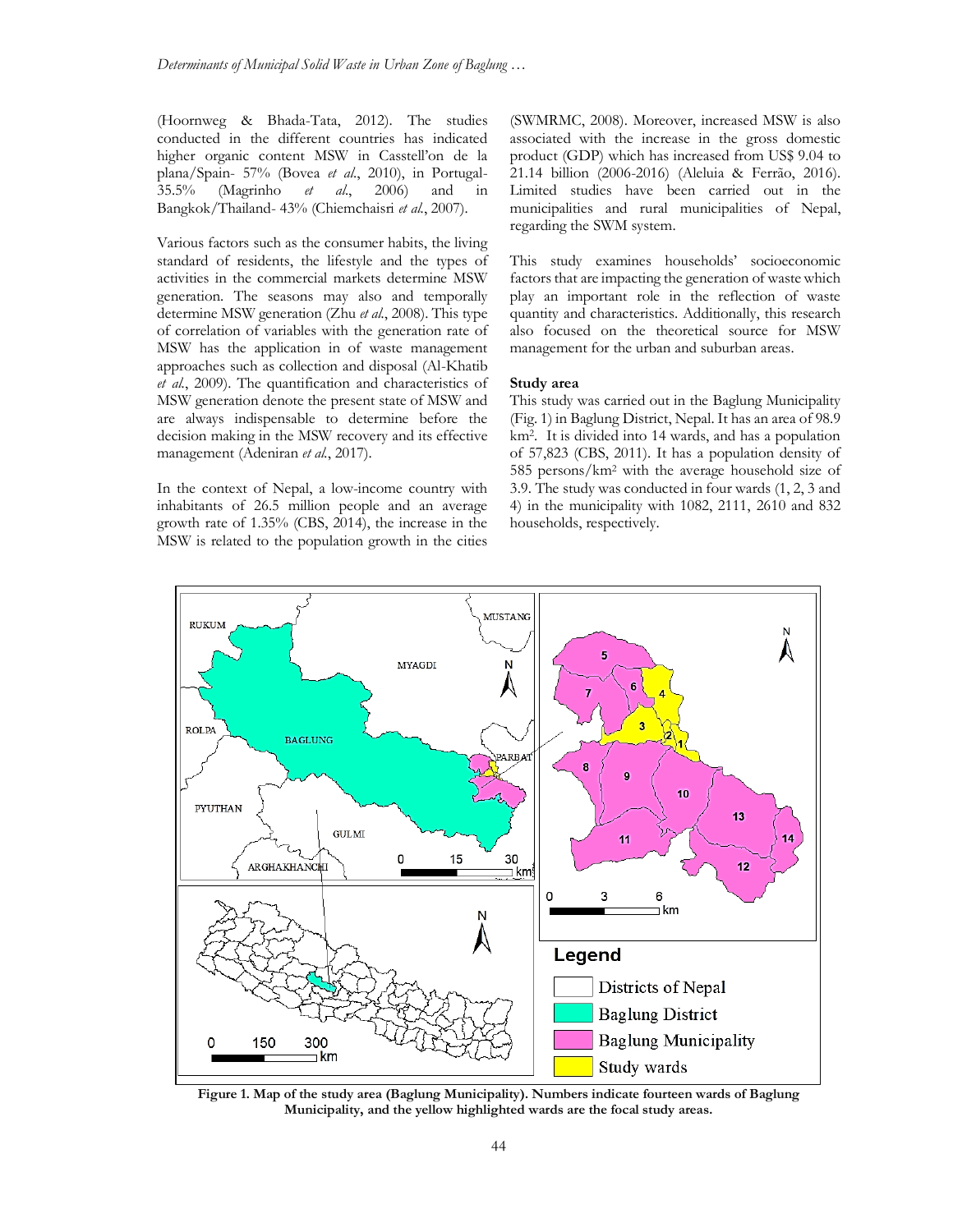(Hoornweg & Bhada-Tata, 2012). The studies conducted in the different countries has indicated higher organic content MSW in Casstell'on de la plana/Spain- 57% (Bovea *et al*., 2010), in Portugal-35.5% (Magrinho *et al*., 2006) and in Bangkok/Thailand- 43% (Chiemchaisri *et al.*, 2007).

Various factors such as the consumer habits, the living standard of residents, the lifestyle and the types of activities in the commercial markets determine MSW generation. The seasons may also and temporally determine MSW generation (Zhu *et al.*, 2008). This type of correlation of variables with the generation rate of MSW has the application in of waste management approaches such as collection and disposal (Al-Khatib *et al.*, 2009). The quantification and characteristics of MSW generation denote the present state of MSW and are always indispensable to determine before the decision making in the MSW recovery and its effective management (Adeniran *et al.*, 2017).

In the context of Nepal, a low-income country with inhabitants of 26.5 million people and an average growth rate of 1.35% (CBS, 2014), the increase in the MSW is related to the population growth in the cities (SWMRMC, 2008). Moreover, increased MSW is also associated with the increase in the gross domestic product (GDP) which has increased from US\$ 9.04 to 21.14 billion (2006-2016) (Aleluia & Ferrão, 2016). Limited studies have been carried out in the municipalities and rural municipalities of Nepal, regarding the SWM system.

This study examines households' socioeconomic factors that are impacting the generation of waste which play an important role in the reflection of waste quantity and characteristics. Additionally, this research also focused on the theoretical source for MSW management for the urban and suburban areas.

### **Study area**

This study was carried out in the Baglung Municipality (Fig. 1) in Baglung District, Nepal. It has an area of 98.9 km<sup>2</sup> . It is divided into 14 wards, and has a population of 57,823 (CBS, 2011). It has a population density of 585 persons/km<sup>2</sup> with the average household size of 3.9. The study was conducted in four wards (1, 2, 3 and 4) in the municipality with 1082, 2111, 2610 and 832 households, respectively.



**Figure 1. Map of the study area (Baglung Municipality). Numbers indicate fourteen wards of Baglung Municipality, and the yellow highlighted wards are the focal study areas.**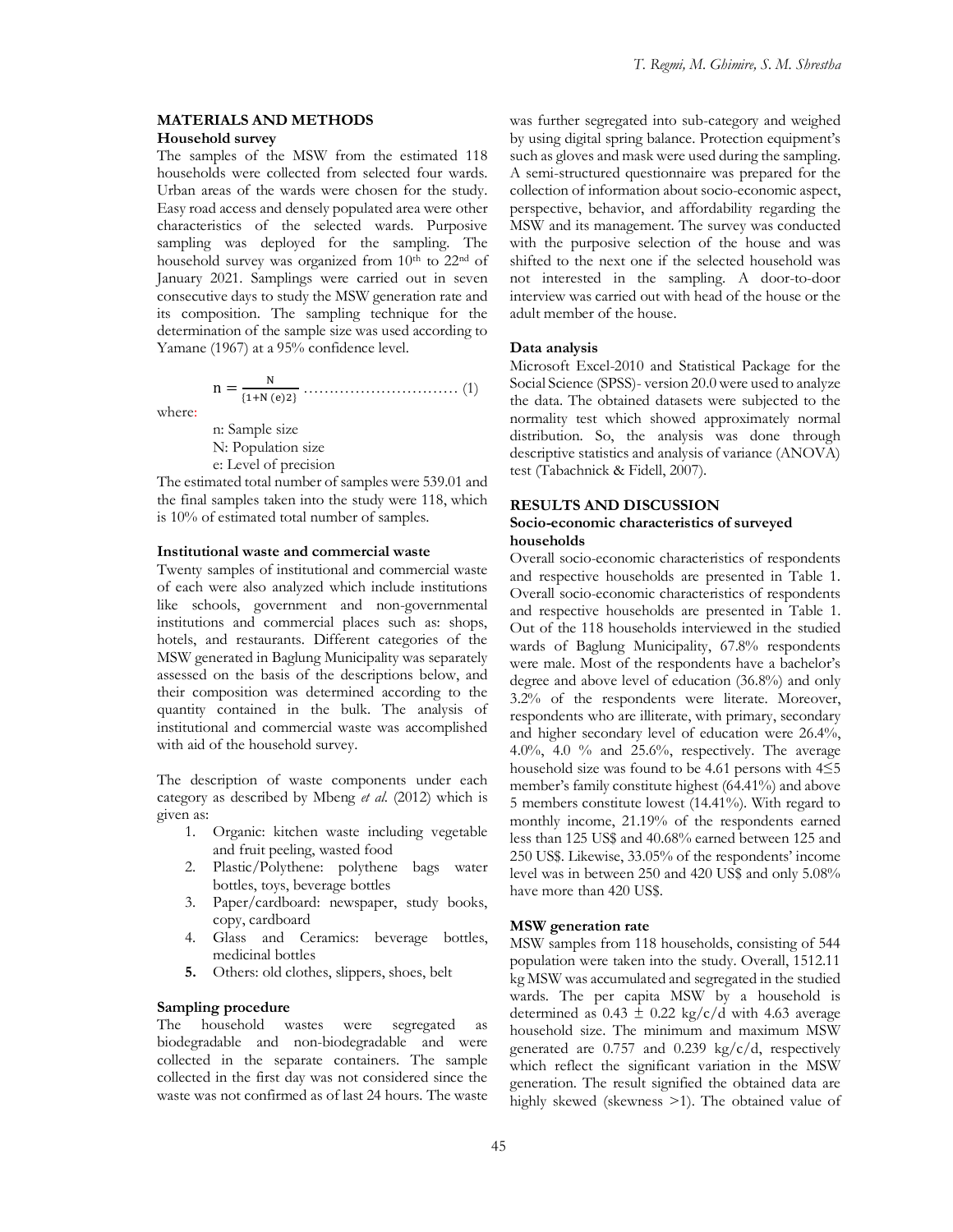# **MATERIALS AND METHODS**

## **Household survey**

The samples of the MSW from the estimated 118 households were collected from selected four wards. Urban areas of the wards were chosen for the study. Easy road access and densely populated area were other characteristics of the selected wards. Purposive sampling was deployed for the sampling. The household survey was organized from 10<sup>th</sup> to 22<sup>nd</sup> of January 2021. Samplings were carried out in seven consecutive days to study the MSW generation rate and its composition. The sampling technique for the determination of the sample size was used according to Yamane (1967) at a 95% confidence level.

n = N {1+N (e)2} ………………………… (1)

where:

n: Sample size N: Population size e: Level of precision

The estimated total number of samples were 539.01 and the final samples taken into the study were 118, which is 10% of estimated total number of samples.

### **Institutional waste and commercial waste**

Twenty samples of institutional and commercial waste of each were also analyzed which include institutions like schools, government and non-governmental institutions and commercial places such as: shops, hotels, and restaurants. Different categories of the MSW generated in Baglung Municipality was separately assessed on the basis of the descriptions below, and their composition was determined according to the quantity contained in the bulk. The analysis of institutional and commercial waste was accomplished with aid of the household survey.

The description of waste components under each category as described by Mbeng *et al*. (2012) which is given as:

- 1. Organic: kitchen waste including vegetable and fruit peeling, wasted food
- 2. Plastic/Polythene: polythene bags water bottles, toys, beverage bottles
- 3. Paper/cardboard: newspaper, study books, copy, cardboard
- 4. Glass and Ceramics: beverage bottles, medicinal bottles
- **5.** Others: old clothes, slippers, shoes, belt

## **Sampling procedure**

The household wastes were segregated as biodegradable and non-biodegradable and were collected in the separate containers. The sample collected in the first day was not considered since the waste was not confirmed as of last 24 hours. The waste

was further segregated into sub-category and weighed by using digital spring balance. Protection equipment's such as gloves and mask were used during the sampling. A semi-structured questionnaire was prepared for the collection of information about socio-economic aspect, perspective, behavior, and affordability regarding the MSW and its management. The survey was conducted with the purposive selection of the house and was shifted to the next one if the selected household was not interested in the sampling. A door-to-door interview was carried out with head of the house or the adult member of the house.

#### **Data analysis**

Microsoft Excel-2010 and Statistical Package for the Social Science (SPSS)- version 20.0 were used to analyze the data. The obtained datasets were subjected to the normality test which showed approximately normal distribution. So, the analysis was done through descriptive statistics and analysis of variance (ANOVA) test (Tabachnick & Fidell, 2007).

### **RESULTS AND DISCUSSION Socio-economic characteristics of surveyed households**

Overall socio-economic characteristics of respondents and respective households are presented in Table 1. Overall socio-economic characteristics of respondents and respective households are presented in Table 1. Out of the 118 households interviewed in the studied wards of Baglung Municipality, 67.8% respondents were male. Most of the respondents have a bachelor's degree and above level of education (36.8%) and only 3.2% of the respondents were literate. Moreover, respondents who are illiterate, with primary, secondary and higher secondary level of education were 26.4%, 4.0%, 4.0 % and 25.6%, respectively. The average household size was found to be 4.61 persons with 4≤5 member's family constitute highest (64.41%) and above 5 members constitute lowest (14.41%). With regard to monthly income, 21.19% of the respondents earned less than 125 US\$ and 40.68% earned between 125 and 250 US\$. Likewise, 33.05% of the respondents' income level was in between 250 and 420 US\$ and only 5.08% have more than 420 US\$.

#### **MSW generation rate**

MSW samples from 118 households, consisting of 544 population were taken into the study. Overall, 1512.11 kg MSW was accumulated and segregated in the studied wards. The per capita MSW by a household is determined as  $0.43 \pm 0.22$  kg/c/d with 4.63 average household size. The minimum and maximum MSW generated are 0.757 and 0.239 kg/c/d, respectively which reflect the significant variation in the MSW generation. The result signified the obtained data are highly skewed (skewness >1). The obtained value of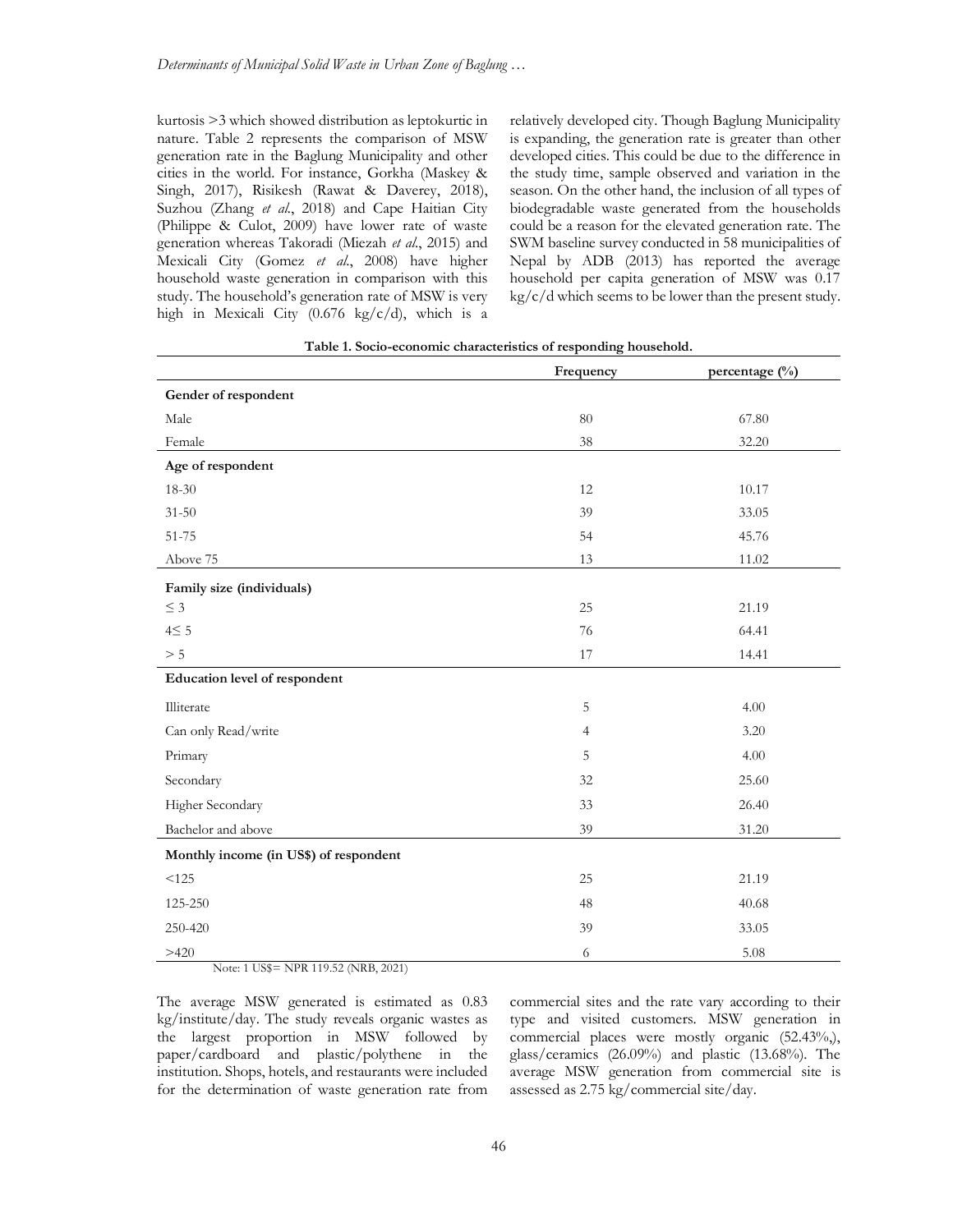kurtosis >3 which showed distribution as leptokurtic in nature. Table 2 represents the comparison of MSW generation rate in the Baglung Municipality and other cities in the world. For instance, Gorkha (Maskey & Singh, 2017), Risikesh (Rawat & Daverey, 2018), Suzhou (Zhang *et al.*, 2018) and Cape Haitian City (Philippe & Culot, 2009) have lower rate of waste generation whereas Takoradi (Miezah *et al*., 2015) and Mexicali City (Gomez *et al*., 2008) have higher household waste generation in comparison with this study. The household's generation rate of MSW is very high in Mexicali City (0.676 kg/c/d), which is a

relatively developed city. Though Baglung Municipality is expanding, the generation rate is greater than other developed cities. This could be due to the difference in the study time, sample observed and variation in the season. On the other hand, the inclusion of all types of biodegradable waste generated from the households could be a reason for the elevated generation rate. The SWM baseline survey conducted in 58 municipalities of Nepal by ADB (2013) has reported the average household per capita generation of MSW was 0.17 kg/c/d which seems to be lower than the present study.

|                                        | Frequency      | percentage $(\frac{0}{0})$ |
|----------------------------------------|----------------|----------------------------|
| Gender of respondent                   |                |                            |
| Male                                   | $80\,$         | 67.80                      |
| Female                                 | 38             | 32.20                      |
| Age of respondent                      |                |                            |
| 18-30                                  | 12             | 10.17                      |
| $31 - 50$                              | 39             | 33.05                      |
| 51-75                                  | 54             | 45.76                      |
| Above 75                               | 13             | 11.02                      |
| Family size (individuals)              |                |                            |
| $\leq$ 3                               | 25             | 21.19                      |
| $4\leq 5$                              | 76             | 64.41                      |
| $> 5$                                  | 17             | 14.41                      |
| Education level of respondent          |                |                            |
| Illiterate                             | 5              | 4.00                       |
| Can only Read/write                    | $\overline{4}$ | 3.20                       |
| Primary                                | 5              | 4.00                       |
| Secondary                              | 32             | 25.60                      |
| Higher Secondary                       | 33             | 26.40                      |
| Bachelor and above                     | 39             | 31.20                      |
| Monthly income (in US\$) of respondent |                |                            |
| < 125                                  | 25             | 21.19                      |
| 125-250                                | 48             | 40.68                      |
| 250-420                                | 39             | 33.05                      |
| >420                                   | 6              | 5.08                       |

| Table 1. Socio-economic characteristics of responding household. |  |  |
|------------------------------------------------------------------|--|--|
|                                                                  |  |  |

Note: 1 US\$= NPR 119.52 (NRB, 2021)

The average MSW generated is estimated as 0.83 kg/institute/day. The study reveals organic wastes as the largest proportion in MSW followed by paper/cardboard and plastic/polythene in the institution. Shops, hotels, and restaurants were included for the determination of waste generation rate from commercial sites and the rate vary according to their type and visited customers. MSW generation in commercial places were mostly organic (52.43%,), glass/ceramics (26.09%) and plastic (13.68%). The average MSW generation from commercial site is assessed as 2.75 kg/commercial site/day.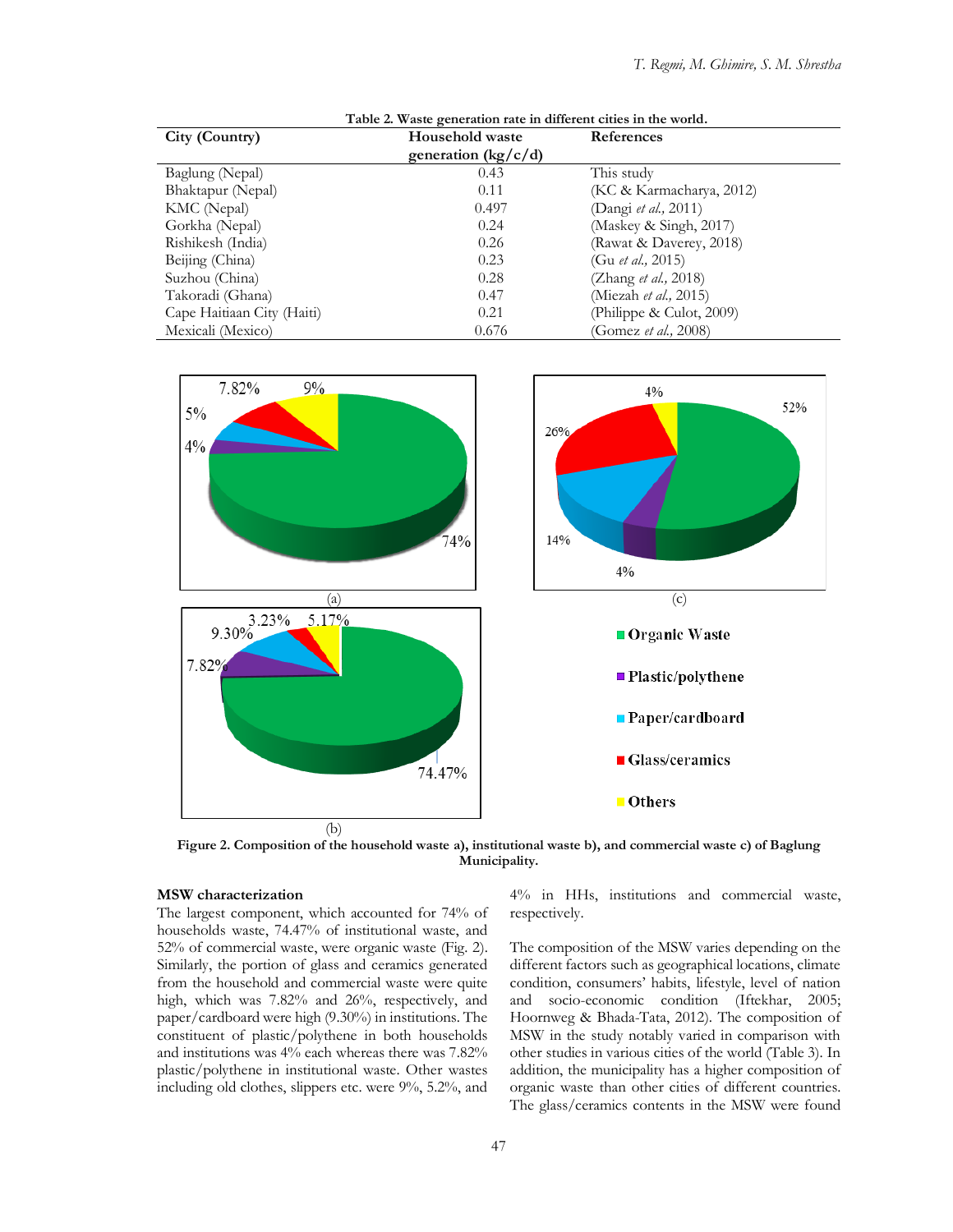| Table 2. Waste generation rate in different cities in the world. |                                 |                              |  |  |  |  |
|------------------------------------------------------------------|---------------------------------|------------------------------|--|--|--|--|
| City (Country)                                                   | <b>Household waste</b>          | References                   |  |  |  |  |
|                                                                  | generation ( $\frac{kg}{c/d}$ ) |                              |  |  |  |  |
| Baglung (Nepal)                                                  | 0.43                            | This study                   |  |  |  |  |
| Bhaktapur (Nepal)                                                | 0.11                            | (KC & Karmacharya, 2012)     |  |  |  |  |
| KMC (Nepal)                                                      | 0.497                           | (Dangi et al., 2011)         |  |  |  |  |
| Gorkha (Nepal)                                                   | 0.24                            | (Maskey & Singh, 2017)       |  |  |  |  |
| Rishikesh (India)                                                | 0.26                            | (Rawat & Daverey, 2018)      |  |  |  |  |
| Beijing (China)                                                  | 0.23                            | (Gu <i>et al.</i> , 2015)    |  |  |  |  |
| Suzhou (China)                                                   | 0.28                            | (Zhang et al., 2018)         |  |  |  |  |
| Takoradi (Ghana)                                                 | 0.47                            | (Miezah et al., 2015)        |  |  |  |  |
| Cape Haitiaan City (Haiti)                                       | 0.21                            | (Philippe $\&$ Culot, 2009)  |  |  |  |  |
| Mexicali (Mexico)                                                | 0.676                           | (Gomez <i>et al.</i> , 2008) |  |  |  |  |



**Figure 2. Composition of the household waste a), institutional waste b), and commercial waste c) of Baglung Municipality.**

### **MSW characterization**

The largest component, which accounted for 74% of households waste, 74.47% of institutional waste, and 52% of commercial waste, were organic waste (Fig. 2). Similarly, the portion of glass and ceramics generated from the household and commercial waste were quite high, which was 7.82% and 26%, respectively, and paper/cardboard were high (9.30%) in institutions. The constituent of plastic/polythene in both households and institutions was 4% each whereas there was 7.82% plastic/polythene in institutional waste. Other wastes including old clothes, slippers etc. were 9%, 5.2%, and

4% in HHs, institutions and commercial waste, respectively.

The composition of the MSW varies depending on the different factors such as geographical locations, climate condition, consumers' habits, lifestyle, level of nation and socio-economic condition (Iftekhar, 2005; Hoornweg & Bhada-Tata, 2012). The composition of MSW in the study notably varied in comparison with other studies in various cities of the world (Table 3). In addition, the municipality has a higher composition of organic waste than other cities of different countries. The glass/ceramics contents in the MSW were found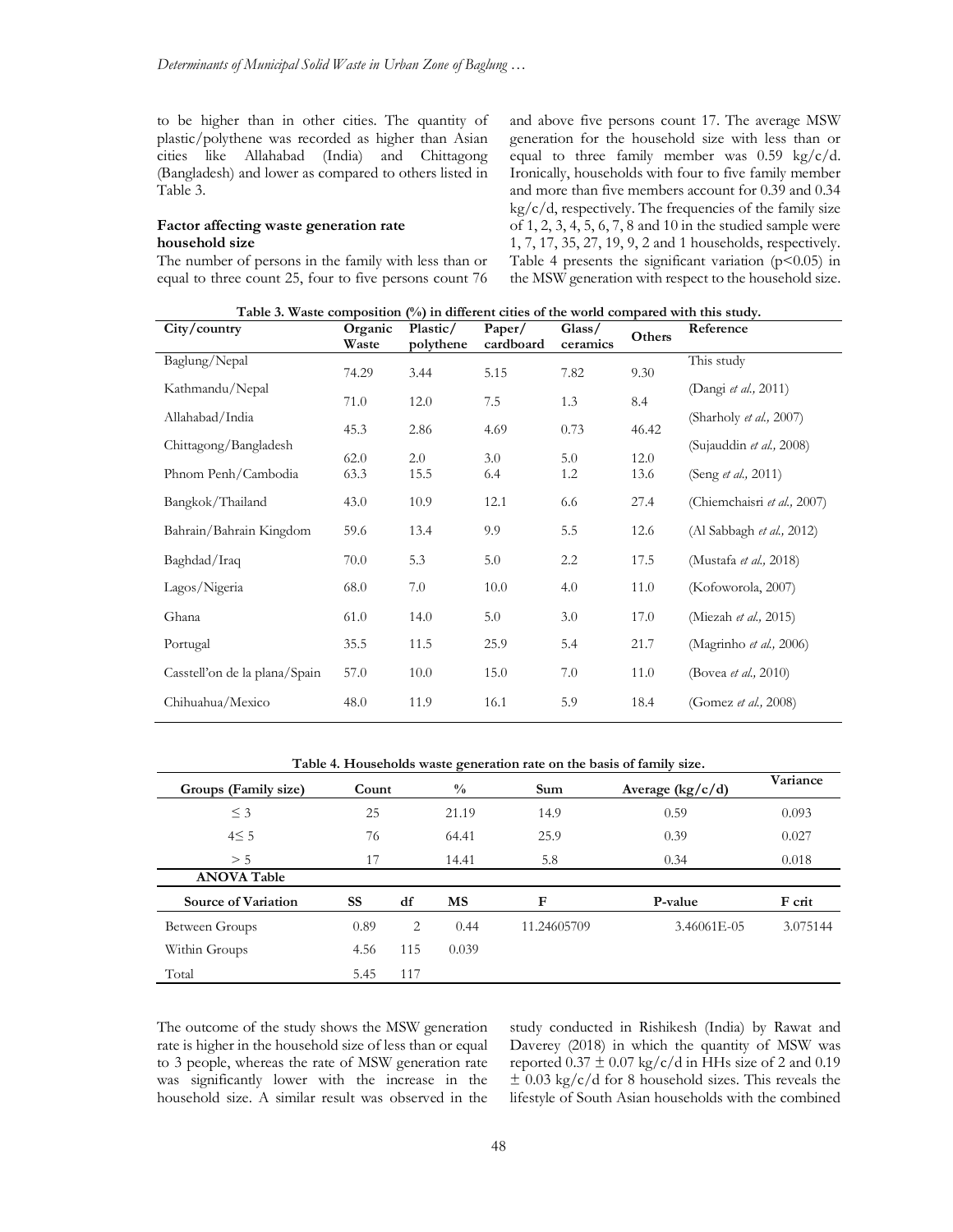to be higher than in other cities. The quantity of plastic/polythene was recorded as higher than Asian cities like Allahabad (India) and Chittagong (Bangladesh) and lower as compared to others listed in Table 3.

## **Factor affecting waste generation rate household size**

The number of persons in the family with less than or equal to three count 25, four to five persons count 76

and above five persons count 17. The average MSW generation for the household size with less than or equal to three family member was  $0.59 \text{ kg/c/d.}$ Ironically, households with four to five family member and more than five members account for 0.39 and 0.34  $kg/c/d$ , respectively. The frequencies of the family size of 1, 2, 3, 4, 5, 6, 7, 8 and 10 in the studied sample were 1, 7, 17, 35, 27, 19, 9, 2 and 1 households, respectively. Table 4 presents the significant variation  $(p<0.05)$  in the MSW generation with respect to the household size.

| Table 3. Waste composition $(\%)$ in different cities of the world compared with this study. |  |  |  |  |
|----------------------------------------------------------------------------------------------|--|--|--|--|
|----------------------------------------------------------------------------------------------|--|--|--|--|

| City/country                  | Organic<br>Waste | Plastic/<br>polythene | Paper/<br>cardboard | Glass/<br>ceramics | Others | Reference                     |
|-------------------------------|------------------|-----------------------|---------------------|--------------------|--------|-------------------------------|
| Baglung/Nepal                 | 74.29            | 3.44                  | 5.15                | 7.82               | 9.30   | This study                    |
| Kathmandu/Nepal               | 71.0             | 12.0                  | 7.5                 | 1.3                | 8.4    | (Dangi et al., 2011)          |
| Allahabad/India               | 45.3             | 2.86                  | 4.69                | 0.73               | 46.42  | (Sharholy et al., 2007)       |
| Chittagong/Bangladesh         | 62.0             | 2.0                   | 3.0                 | 5.0                | 12.0   | (Sujauddin et al., 2008)      |
| Phnom Penh/Cambodia           | 63.3             | 15.5                  | 6.4                 | 1.2                | 13.6   | (Seng <i>et al.</i> , 2011)   |
| Bangkok/Thailand              | 43.0             | 10.9                  | 12.1                | 6.6                | 27.4   | (Chiemchaisri et al., 2007)   |
| Bahrain/Bahrain Kingdom       | 59.6             | 13.4                  | 9.9                 | 5.5                | 12.6   | (Al Sabbagh et al., 2012)     |
| Baghdad/Iraq                  | 70.0             | 5.3                   | 5.0                 | 2.2                | 17.5   | (Mustafa et al., 2018)        |
| Lagos/Nigeria                 | 68.0             | 7.0                   | 10.0                | 4.0                | 11.0   | (Kofoworola, 2007)            |
| Ghana                         | 61.0             | 14.0                  | 5.0                 | 3.0                | 17.0   | (Miezah <i>et al.</i> , 2015) |
| Portugal                      | 35.5             | 11.5                  | 25.9                | 5.4                | 21.7   | (Magrinho et al., 2006)       |
| Casstell'on de la plana/Spain | 57.0             | 10.0                  | 15.0                | 7.0                | 11.0   | (Bovea <i>et al.</i> , 2010)  |
| Chihuahua/Mexico              | 48.0             | 11.9                  | 16.1                | 5.9                | 18.4   | (Gomez et al., 2008)          |

**Table 4. Households waste generation rate on the basis of family size.**

| Groups (Family size)       | Count     |     | $\frac{0}{0}$ | Sum         | Average $(kg/c/d)$ | Variance |
|----------------------------|-----------|-----|---------------|-------------|--------------------|----------|
| $\leq$ 3                   | 25        |     | 21.19         | 14.9        | 0.59               | 0.093    |
| 4 < 5                      | 76        |     | 64.41         | 25.9        | 0.39               | 0.027    |
| > 5                        | 17        |     | 14.41         | 5.8         | 0.34               | 0.018    |
| <b>ANOVA Table</b>         |           |     |               |             |                    |          |
| <b>Source of Variation</b> | <b>SS</b> | df  | <b>MS</b>     | F           | P-value            | F crit   |
| Between Groups             | 0.89      | 2   | 0.44          | 11.24605709 | 3.46061E-05        | 3.075144 |
| Within Groups              | 4.56      | 115 | 0.039         |             |                    |          |
| Total                      | 5.45      | 117 |               |             |                    |          |

The outcome of the study shows the MSW generation rate is higher in the household size of less than or equal to 3 people, whereas the rate of MSW generation rate was significantly lower with the increase in the household size. A similar result was observed in the

study conducted in Rishikesh (India) by Rawat and Daverey (2018) in which the quantity of MSW was reported  $0.37 \pm 0.07$  kg/c/d in HHs size of 2 and 0.19  $\pm$  0.03 kg/c/d for 8 household sizes. This reveals the lifestyle of South Asian households with the combined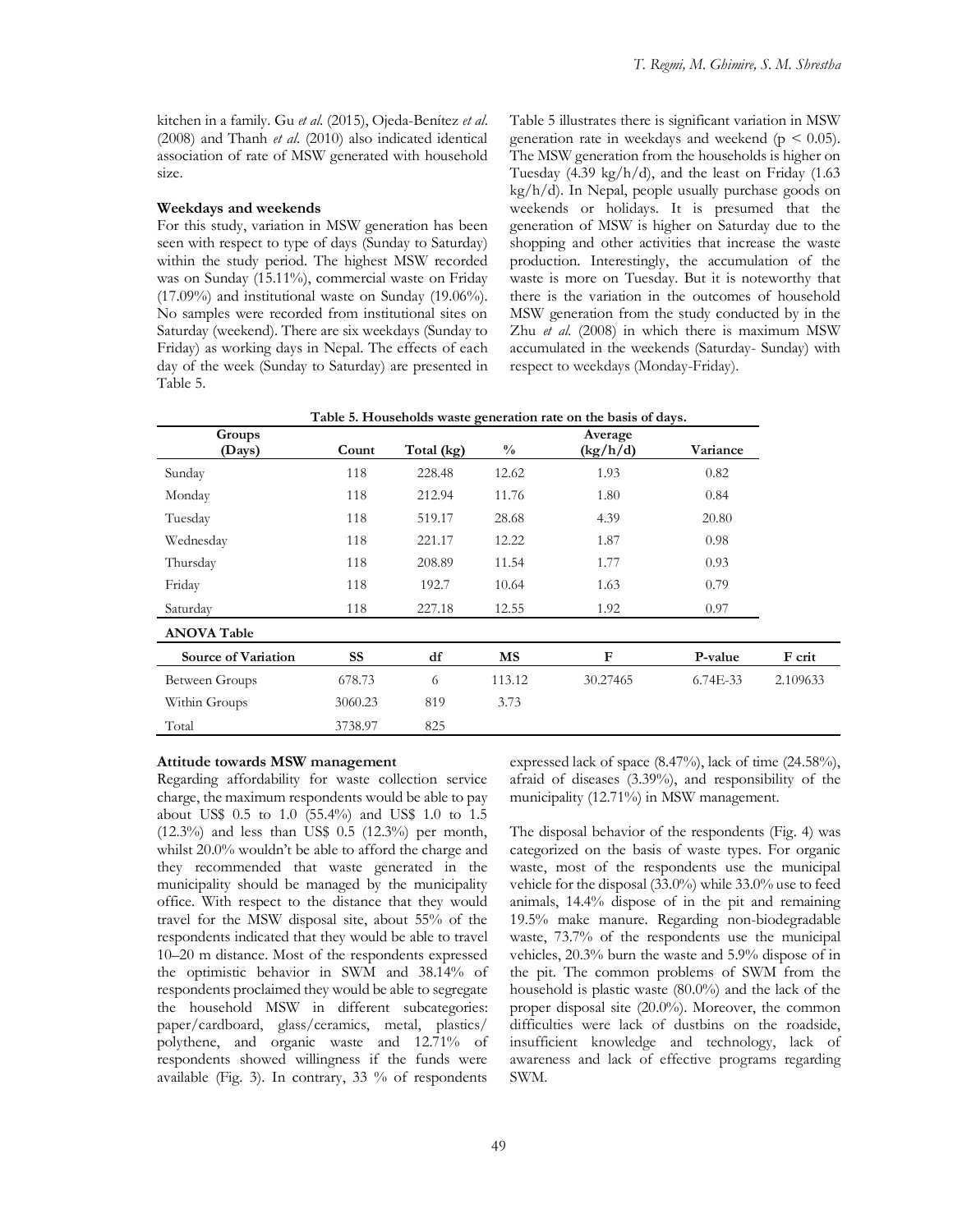kitchen in a family. Gu *et al*. (2015), Ojeda-Benítez *et al*. (2008) and Thanh *et al*. (2010) also indicated identical association of rate of MSW generated with household size.

#### **Weekdays and weekends**

For this study, variation in MSW generation has been seen with respect to type of days (Sunday to Saturday) within the study period. The highest MSW recorded was on Sunday (15.11%), commercial waste on Friday (17.09%) and institutional waste on Sunday (19.06%). No samples were recorded from institutional sites on Saturday (weekend). There are six weekdays (Sunday to Friday) as working days in Nepal. The effects of each day of the week (Sunday to Saturday) are presented in Table 5.

Table 5 illustrates there is significant variation in MSW generation rate in weekdays and weekend ( $p \leq 0.05$ ). The MSW generation from the households is higher on Tuesday  $(4.39 \text{ kg/h/d})$ , and the least on Friday  $(1.63 \text{ m})$ kg/h/d). In Nepal, people usually purchase goods on weekends or holidays. It is presumed that the generation of MSW is higher on Saturday due to the shopping and other activities that increase the waste production. Interestingly, the accumulation of the waste is more on Tuesday. But it is noteworthy that there is the variation in the outcomes of household MSW generation from the study conducted by in the Zhu *et al.* (2008) in which there is maximum MSW accumulated in the weekends (Saturday- Sunday) with respect to weekdays (Monday-Friday).

|                            |           |            |               | Table 5. Households waste generation rate on the basis of days. |            |          |
|----------------------------|-----------|------------|---------------|-----------------------------------------------------------------|------------|----------|
| Groups<br>(Days)           | Count     | Total (kg) | $\frac{0}{0}$ | Average<br>(kg/h/d)                                             | Variance   |          |
| Sunday                     | 118       | 228.48     | 12.62         | 1.93                                                            | 0.82       |          |
| Monday                     | 118       | 212.94     | 11.76         | 1.80                                                            | 0.84       |          |
| Tuesday                    | 118       | 519.17     | 28.68         | 4.39                                                            | 20.80      |          |
| Wednesday                  | 118       | 221.17     | 12.22         | 1.87                                                            | 0.98       |          |
| Thursday                   | 118       | 208.89     | 11.54         | 1.77                                                            | 0.93       |          |
| Friday                     | 118       | 192.7      | 10.64         | 1.63                                                            | 0.79       |          |
| Saturday                   | 118       | 227.18     | 12.55         | 1.92                                                            | 0.97       |          |
| <b>ANOVA Table</b>         |           |            |               |                                                                 |            |          |
| <b>Source of Variation</b> | <b>SS</b> | df         | <b>MS</b>     | $\mathbf F$                                                     | P-value    | F crit   |
| Between Groups             | 678.73    | 6          | 113.12        | 30.27465                                                        | $6.74E-33$ | 2.109633 |
| Within Groups              | 3060.23   | 819        | 3.73          |                                                                 |            |          |
| Total                      | 3738.97   | 825        |               |                                                                 |            |          |

#### **Attitude towards MSW management**

Regarding affordability for waste collection service charge, the maximum respondents would be able to pay about US\$ 0.5 to 1.0 (55.4%) and US\$ 1.0 to 1.5 (12.3%) and less than US\$ 0.5 (12.3%) per month, whilst 20.0% wouldn't be able to afford the charge and they recommended that waste generated in the municipality should be managed by the municipality office. With respect to the distance that they would travel for the MSW disposal site, about 55% of the respondents indicated that they would be able to travel 10–20 m distance. Most of the respondents expressed the optimistic behavior in SWM and 38.14% of respondents proclaimed they would be able to segregate the household MSW in different subcategories: paper/cardboard, glass/ceramics, metal, plastics/ polythene, and organic waste and 12.71% of respondents showed willingness if the funds were available (Fig. 3). In contrary, 33 % of respondents

expressed lack of space (8.47%), lack of time (24.58%), afraid of diseases (3.39%), and responsibility of the municipality (12.71%) in MSW management.

The disposal behavior of the respondents (Fig. 4) was categorized on the basis of waste types. For organic waste, most of the respondents use the municipal vehicle for the disposal (33.0%) while 33.0% use to feed animals, 14.4% dispose of in the pit and remaining 19.5% make manure. Regarding non-biodegradable waste, 73.7% of the respondents use the municipal vehicles, 20.3% burn the waste and 5.9% dispose of in the pit. The common problems of SWM from the household is plastic waste (80.0%) and the lack of the proper disposal site (20.0%). Moreover, the common difficulties were lack of dustbins on the roadside, insufficient knowledge and technology, lack of awareness and lack of effective programs regarding SWM.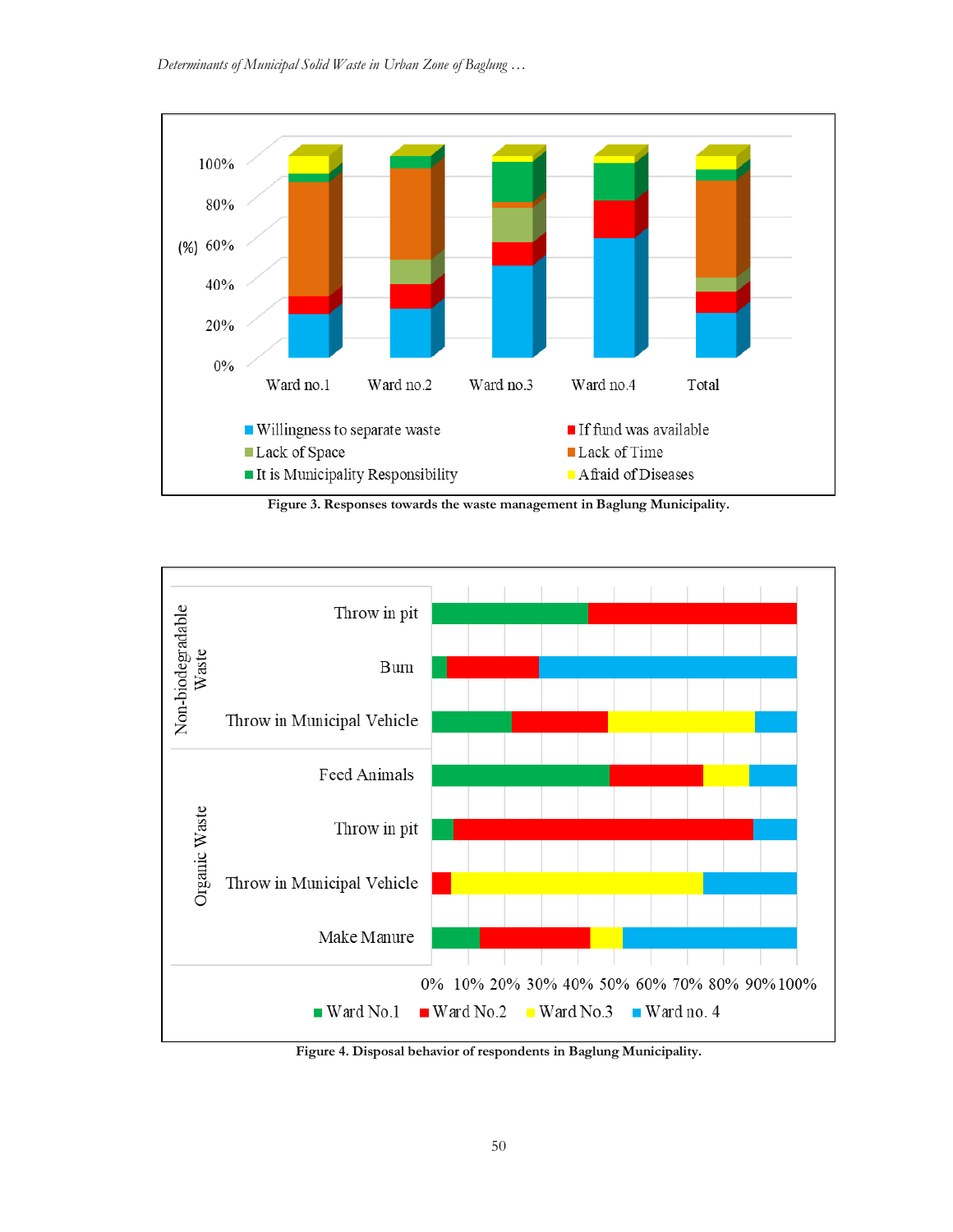

**Figure 3. Responses towards the waste management in Baglung Municipality.**



**Figure 4. Disposal behavior of respondents in Baglung Municipality.**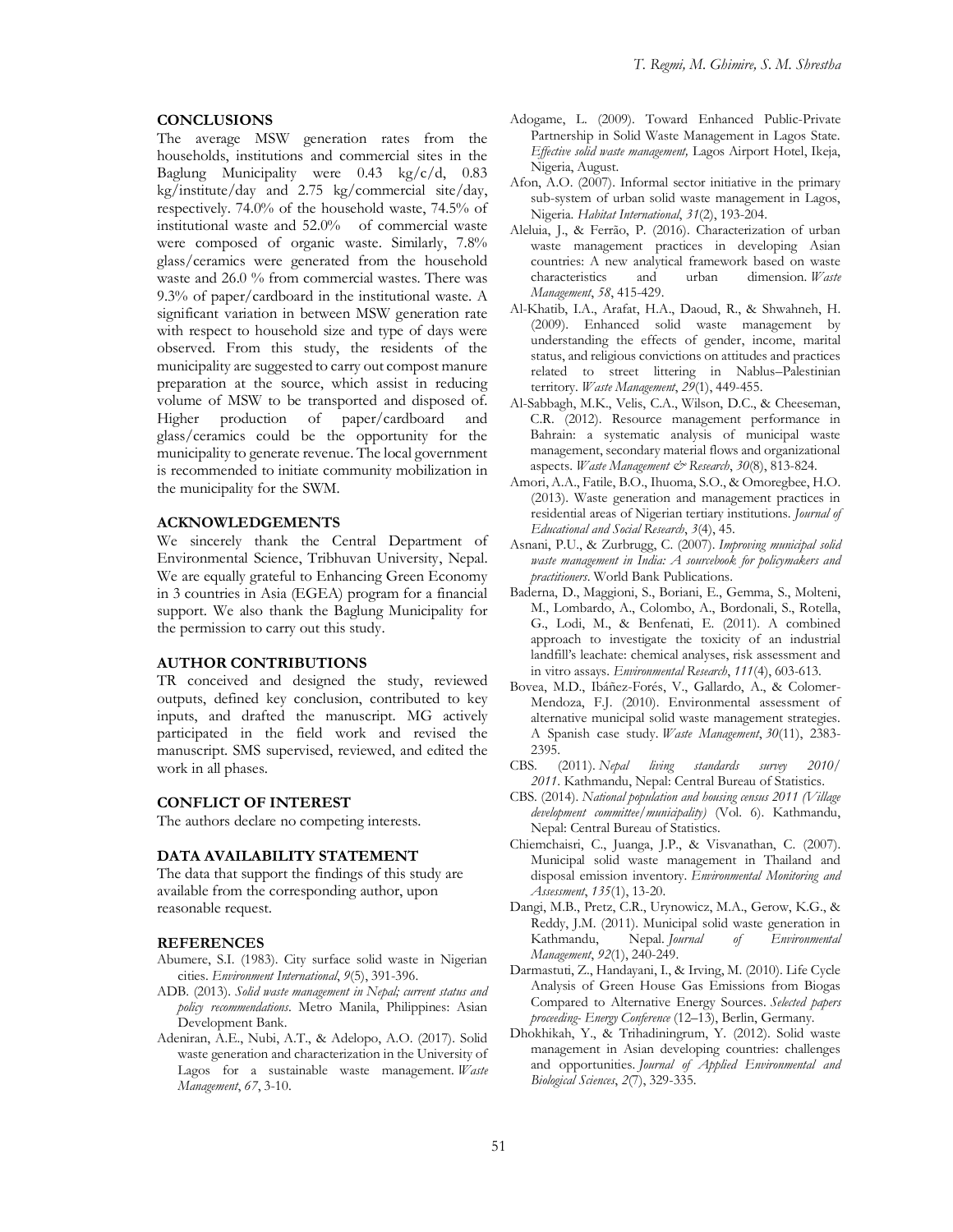### **CONCLUSIONS**

The average MSW generation rates from the households, institutions and commercial sites in the Baglung Municipality were 0.43 kg/c/d, 0.83 kg/institute/day and 2.75 kg/commercial site/day, respectively. 74.0% of the household waste, 74.5% of institutional waste and 52.0% of commercial waste were composed of organic waste. Similarly, 7.8% glass/ceramics were generated from the household waste and 26.0 % from commercial wastes. There was 9.3% of paper/cardboard in the institutional waste. A significant variation in between MSW generation rate with respect to household size and type of days were observed. From this study, the residents of the municipality are suggested to carry out compost manure preparation at the source, which assist in reducing volume of MSW to be transported and disposed of. Higher production of paper/cardboard and glass/ceramics could be the opportunity for the municipality to generate revenue. The local government is recommended to initiate community mobilization in the municipality for the SWM.

### **ACKNOWLEDGEMENTS**

We sincerely thank the Central Department of Environmental Science, Tribhuvan University, Nepal. We are equally grateful to Enhancing Green Economy in 3 countries in Asia (EGEA) program for a financial support. We also thank the Baglung Municipality for the permission to carry out this study.

#### **AUTHOR CONTRIBUTIONS**

TR conceived and designed the study, reviewed outputs, defined key conclusion, contributed to key inputs, and drafted the manuscript. MG actively participated in the field work and revised the manuscript. SMS supervised, reviewed, and edited the work in all phases.

### **CONFLICT OF INTEREST**

The authors declare no competing interests.

### **DATA AVAILABILITY STATEMENT**

The data that support the findings of this study are available from the corresponding author, upon reasonable request.

#### **REFERENCES**

- Abumere, S.I. (1983). City surface solid waste in Nigerian cities. *Environment International*, *9*(5), 391-396.
- ADB. (2013). *Solid waste management in Nepal; current status and policy recommendations*. Metro Manila, Philippines: Asian Development Bank.
- Adeniran, A.E., Nubi, A.T., & Adelopo, A.O. (2017). Solid waste generation and characterization in the University of Lagos for a sustainable waste management. *Waste Management*, *67*, 3-10.
- Adogame, L. (2009). Toward Enhanced Public-Private Partnership in Solid Waste Management in Lagos State. *Effective solid waste management,* Lagos Airport Hotel, Ikeja, Nigeria, August.
- Afon, A.O. (2007). Informal sector initiative in the primary sub-system of urban solid waste management in Lagos, Nigeria. *Habitat International*, *31*(2), 193-204.
- Aleluia, J., & Ferrão, P. (2016). Characterization of urban waste management practices in developing Asian countries: A new analytical framework based on waste characteristics and urban dimension. *Waste Management*, *58*, 415-429.
- Al-Khatib, I.A., Arafat, H.A., Daoud, R., & Shwahneh, H. (2009). Enhanced solid waste management by understanding the effects of gender, income, marital status, and religious convictions on attitudes and practices related to street littering in Nablus–Palestinian territory. *Waste Management*, *29*(1), 449-455.
- Al-Sabbagh, M.K., Velis, C.A., Wilson, D.C., & Cheeseman, C.R. (2012). Resource management performance in Bahrain: a systematic analysis of municipal waste management, secondary material flows and organizational aspects. *Waste Management & Research*, *30*(8), 813-824.
- Amori, A.A., Fatile, B.O., Ihuoma, S.O., & Omoregbee, H.O. (2013). Waste generation and management practices in residential areas of Nigerian tertiary institutions. *Journal of Educational and Social Research*, *3*(4), 45.
- Asnani, P.U., & Zurbrugg, C. (2007). *Improving municipal solid waste management in India: A sourcebook for policymakers and practitioners*. World Bank Publications.
- Baderna, D., Maggioni, S., Boriani, E., Gemma, S., Molteni, M., Lombardo, A., Colombo, A., Bordonali, S., Rotella, G., Lodi, M., & Benfenati, E. (2011). A combined approach to investigate the toxicity of an industrial landfill's leachate: chemical analyses, risk assessment and in vitro assays. *Environmental Research*, *111*(4), 603-613.
- Bovea, M.D., Ibáñez-Forés, V., Gallardo, A., & Colomer-Mendoza, F.J. (2010). Environmental assessment of alternative municipal solid waste management strategies. A Spanish case study. *Waste Management*, *30*(11), 2383- 2395.
- CBS. (2011). *Nepal living standards survey 2010/ 2011*. Kathmandu, Nepal: Central Bureau of Statistics.
- CBS. (2014). *National population and housing census 2011 (Village development committee/municipality)* (Vol. 6). Kathmandu, Nepal: Central Bureau of Statistics.
- Chiemchaisri, C., Juanga, J.P., & Visvanathan, C. (2007). Municipal solid waste management in Thailand and disposal emission inventory. *Environmental Monitoring and Assessment*, *135*(1), 13-20.
- Dangi, M.B., Pretz, C.R., Urynowicz, M.A., Gerow, K.G., & Reddy, J.M. (2011). Municipal solid waste generation in Kathmandu, Nepal. *Journal of Environmental Management*, *92*(1), 240-249.
- Darmastuti, Z., Handayani, I., & Irving, M. (2010). Life Cycle Analysis of Green House Gas Emissions from Biogas Compared to Alternative Energy Sources. *Selected papers proceeding- Energy Conference* (12–13), Berlin, Germany*.*
- Dhokhikah, Y., & Trihadiningrum, Y. (2012). Solid waste management in Asian developing countries: challenges and opportunities. *Journal of Applied Environmental and Biological Sciences*, *2*(7), 329-335.